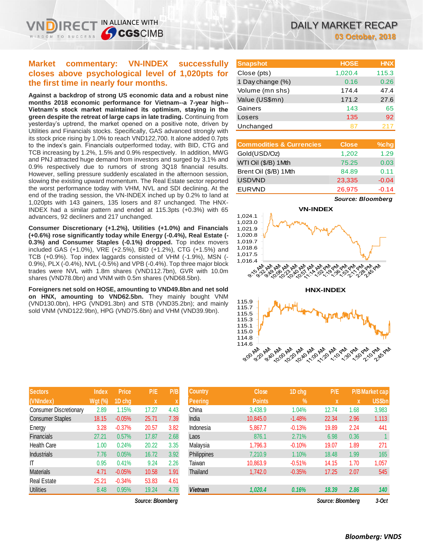# **Market commentary: VN-INDEX successfully closes above psychological level of 1,020pts for the first time in nearly four months.**

IN ALLIANCE WITH

**Against a backdrop of strong US economic data and a robust nine months 2018 economic performance for Vietnam--a 7-year high-- Vietnam's stock market maintained its optimism, staying in the green despite the retreat of large caps in late trading.** Continuing from yesterday's uptrend, the market opened on a positive note, driven by Utilities and Financials stocks. Specifically, GAS advanced strongly with its stock price rising by 1.0% to reach VND122,700. It alone added 0.7pts to the index's gain. Financials outperformed today, with BID, CTG and TCB increasing by 1.2%, 1.5% and 0.9% respectively. In addition, MWG and PNJ attracted huge demand from investors and surged by 3.1% and 0.9% respectively due to rumors of strong 3Q18 financial results. However, selling pressure suddenly escalated in the afternoon session, slowing the existing upward momentum. The Real Estate sector reported the worst performance today with VHM, NVL and SDI declining. At the end of the trading session, the VN-INDEX inched up by 0.2% to land at 1,020pts with 143 gainers, 135 losers and 87 unchanged. The HNX-INDEX had a similar pattern and ended at 115.3pts (+0.3%) with 65 advancers, 92 decliners and 217 unchanged.

**Consumer Discretionary (+1.2%), Utilities (+1.0%) and Financials (+0.6%) rose significantly today while Energy (-0.4%), Real Estate (- 0.3%) and Consumer Staples (-0.1%) dropped.** Top index movers included GAS (+1.0%), VRE (+2.5%), BID (+1.2%), CTG (+1.5%) and TCB (+0.9%). Top index laggards consisted of VHM (-1.9%), MSN (- 0.9%), PLX (-0.4%), NVL (-0.5%) and VPB (-0.4%). Top three major block trades were NVL with 1.8m shares (VND112.7bn), GVR with 10.0m shares (VND78.0bn) and VNM with 0.5m shares (VND68.5bn).

**Foreigners net sold on HOSE, amounting to VND49.8bn and net sold on HNX, amounting to VND62.5bn.** They mainly bought VNM (VND130.0bn), HPG (VND91.3bn) and STB (VND35.2bn); and mainly sold VNM (VND122.9bn), HPG (VND75.6bn) and VHM (VND39.9bn).

| <b>Sectors</b>                | <b>Index</b> | <b>Price</b> | P/E   | P/B                       |
|-------------------------------|--------------|--------------|-------|---------------------------|
| (VNIndex)                     | $Wgt$ (%)    | 1D chg       | X     | $\boldsymbol{\mathsf{X}}$ |
| <b>Consumer Discretionary</b> | 2.89         | 1.15%        | 17.27 | 4.43                      |
| <b>Consumer Staples</b>       | 18.15        | $-0.05%$     | 25.71 | 7.39                      |
| Energy                        | 3.28         | $-0.37%$     | 20.57 | 3.82                      |
| <b>Financials</b>             | 27.21        | 0.57%        | 17.87 | 2.68                      |
| Health Care                   | 1.00         | 0.24%        | 20.22 | 3.35                      |
| <b>Industrials</b>            | 7.76         | 0.05%        | 16.72 | 3.92                      |
| ıτ                            | 0.95         | 0.41%        | 9.24  | 2.26                      |
| <b>Materials</b>              | 4.71         | $-0.05%$     | 10.58 | 1.91                      |
| <b>Real Estate</b>            | 25.21        | $-0.34%$     | 53.83 | 4.61                      |
| <b>Utilities</b>              | 8.48         | 0.95%        | 19.24 | 4.79                      |

 $Source: Bloomberg$ 

| <b>Snapshot</b>  | <b>HOSE</b> | <b>HNX</b> |
|------------------|-------------|------------|
| Close (pts)      | 1,020.4     | 115.3      |
| 1 Day change (%) | 0.16        | 0.26       |
| Volume (mn shs)  | 174.4       | 47.4       |
| Value (US\$mn)   | 171.2       | 27.6       |
| Gainers          | 143         | 65         |
| Losers           | 135         | 92         |
| Unchanged        |             | 217        |

| <b>Commodities &amp; Currencies</b> | <b>Close</b> | $%$ chg |
|-------------------------------------|--------------|---------|
| Gold(USD/Oz)                        | 1,202        | 1.29    |
| WTI Oil (\$/B) 1Mth                 | 75.25        | 0.03    |
| Brent Oil (\$/B) 1Mth               | 84.89        | 0.11    |
| <b>USDVND</b>                       | 23,335       | $-0.04$ |
| <b>EURVND</b>                       | 26,975       | $-0.14$ |

*Source: Bloomberg*





| <b>Sectors</b>          | <b>Index</b>   | <b>Price</b> | P/E               | P/B  | <b>Country</b> | <b>Close</b>  | 1D chg   | P/E               |      | <b>P/B Market cap</b> |
|-------------------------|----------------|--------------|-------------------|------|----------------|---------------|----------|-------------------|------|-----------------------|
| (VNIndex)               | <b>Wgt (%)</b> | 1D chg       | X                 |      | Peering        | <b>Points</b> | V.       | X                 | X    | <b>US\$bn</b>         |
| Consumer Discretionary  | 2.89           | 1.15%        | 17.27             | 4.43 | China          | 3,438.9       | 1.04%    | 12.74             | 1.68 | 3,983                 |
| <b>Consumer Staples</b> | 18.15          | $-0.05%$     | 25.71             | 7.39 | India          | 10.845.0      | $-1.48%$ | 22.34             | 2.96 | 1,113                 |
| Energy                  | 3.28           | $-0.37%$     | 20.57             | 3.82 | Indonesia      | 5,867.7       | $-0.13%$ | 19.89             | 2.24 | 441                   |
| <b>Financials</b>       | 27.21          | 0.57%        | 17.87             | 2.68 | Laos           | 876.1         | 2.71%    | 6.98              | 0.36 |                       |
| <b>Health Care</b>      | 1.00           | 0.24%        | 20.22             | 3.35 | Malaysia       | 1,796.3       | $-0.10%$ | 19.07             | 1.89 | 271                   |
| <b>Industrials</b>      | 7.76           | 0.05%        | 16.72             | 3.92 | Philippines    | 7,210.9       | 1.10%    | 18.48             | 1.99 | 165                   |
| ΙT                      | 0.95           | 0.41%        | 9.24              | 2.26 | Taiwan         | 10.863.9      | $-0.51%$ | 14.15             | 1.70 | 1,057                 |
| Materials               | 4.71           | $-0.05%$     | 10.58             | 1.91 | Thailand       | 1,742.0       | $-0.35%$ | 17.25             | 2.07 | 545                   |
| Real Estate             | 25.21          | $-0.34%$     | 53.83             | 4.61 |                |               |          |                   |      |                       |
| <b>Utilities</b>        | 8.48           | 0.95%        | 19.24             | 4.79 | <b>Vietnam</b> | 1,020.4       | 0.16%    | 18.39             | 2.86 | 140                   |
|                         |                |              | Source: Bloomberg |      |                |               |          | Source: Bloomberg |      | $3-Oct$               |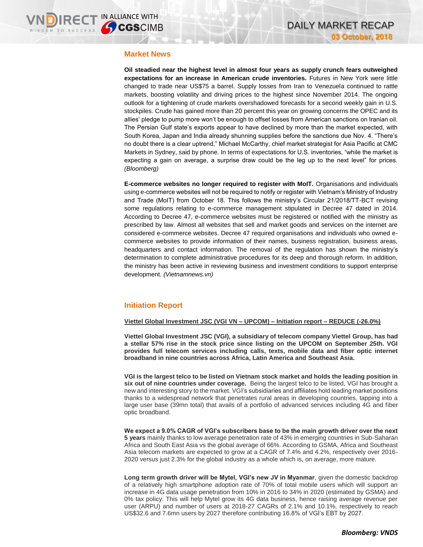### **Market News**

**Oil steadied near the highest level in almost four years as supply crunch fears outweighed expectations for an increase in American crude inventories.** Futures in New York were little changed to trade near US\$75 a barrel. Supply losses from Iran to Venezuela continued to rattle markets, boosting volatility and driving prices to the highest since November 2014. The ongoing outlook for a tightening of crude markets overshadowed forecasts for a second weekly gain in U.S. stockpiles. Crude has gained more than 20 percent this year on growing concerns the OPEC and its allies' pledge to pump more won't be enough to offset losses from American sanctions on Iranian oil. The Persian Gulf state's exports appear to have declined by more than the market expected, with South Korea, Japan and India already shunning supplies before the sanctions due Nov. 4. "There's no doubt there is a clear uptrend," Michael McCarthy, chief market strategist for Asia Pacific at CMC Markets in Sydney, said by phone. In terms of expectations for U.S. inventories, "while the market is expecting a gain on average, a surprise draw could be the leg up to the next level" for prices. *(Bloomberg)*

**E-commerce websites no longer required to register with MoIT.** Organisations and individuals using e-commerce websites will not be required to notify or register with Vietnam's Ministry of Industry and Trade (MoIT) from October 18. This follows the ministry's Circular 21/2018/TT-BCT revising some regulations relating to e-commerce management stipulated in Decree 47 dated in 2014. According to Decree 47, e-commerce websites must be registered or notified with the ministry as prescribed by law. Almost all websites that sell and market goods and services on the internet are considered e-commerce websites. Decree 47 required organisations and individuals who owned ecommerce websites to provide information of their names, business registration, business areas, headquarters and contact information. The removal of the regulation has shown the ministry's determination to complete administrative procedures for its deep and thorough reform. In addition, the ministry has been active in reviewing business and investment conditions to support enterprise development. *(Vietnamnews.vn)*

## **Initiation Report**

### **Viettel Global Investment JSC (VGI VN – UPCOM) – Initiation report – REDUCE (-26.0%)**

**Viettel Global Investment JSC (VGI), a subsidiary of telecom company Viettel Group, has had a stellar 57% rise in the stock price since listing on the UPCOM on September 25th. VGI provides full telecom services including calls, texts, mobile data and fiber optic internet broadband in nine countries across Africa, Latin America and Southeast Asia.**

**VGI is the largest telco to be listed on Vietnam stock market and holds the leading position in six out of nine countries under coverage.** Being the largest telco to be listed, VGI has brought a new and interesting story to the market. VGI's subsidiaries and affiliates hold leading market positions thanks to a widespread network that penetrates rural areas in developing countries, tapping into a large user base (39mn total) that avails of a portfolio of advanced services including 4G and fiber optic broadband.

**We expect a 9.0% CAGR of VGI's subscribers base to be the main growth driver over the next 5 years** mainly thanks to low average penetration rate of 43% in emerging countries in Sub-Saharan Africa and South East Asia vs the global average of 66%. According to GSMA, Africa and Southeast Asia telecom markets are expected to grow at a CAGR of 7.4% and 4.2%, respectively over 2016- 2020 versus just 2.3% for the global industry as a whole which is, on average, more mature.

**Long term growth driver will be Mytel, VGI's new JV in Myanmar**, given the domestic backdrop of a relatively high smartphone adoption rate of 70% of total mobile users which will support an increase in 4G data usage penetration from 10% in 2016 to 34% in 2020 (estimated by GSMA) and 0% tax policy. This will help Mytel grow its 4G data business, hence raising average revenue per user (ARPU) and number of users at 2018-27 CAGRs of 2.1% and 10.1%, respectively to reach US\$32.6 and 7.6mn users by 2027 therefore contributing 16.8% of VGI's EBT by 2027.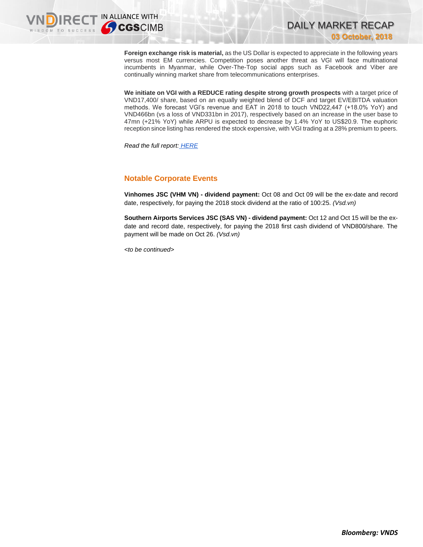

**Foreign exchange risk is material,** as the US Dollar is expected to appreciate in the following years versus most EM currencies. Competition poses another threat as VGI will face multinational incumbents in Myanmar, while Over-The-Top social apps such as Facebook and Viber are continually winning market share from telecommunications enterprises.

DAILY MARKET RECAP

**03 October, 2018**

**We initiate on VGI with a REDUCE rating despite strong growth prospects** with a target price of VND17,400/ share, based on an equally weighted blend of DCF and target EV/EBITDA valuation methods. We forecast VGI's revenue and EAT in 2018 to touch VND22,447 (+18.0% YoY) and VND466bn (vs a loss of VND331bn in 2017), respectively based on an increase in the user base to 47mn (+21% YoY) while ARPU is expected to decrease by 1.4% YoY to US\$20.9. The euphoric reception since listing has rendered the stock expensive, with VGI trading at a 28% premium to peers.

*Read the full report: [HERE](https://static-02.vndirect.com.vn/uploads/prod/VGI_Initiation_20181003.pdf)*

### **Notable Corporate Events**

**Vinhomes JSC (VHM VN) - dividend payment:** Oct 08 and Oct 09 will be the ex-date and record date, respectively, for paying the 2018 stock dividend at the ratio of 100:25. *(Vsd.vn)*

**Southern Airports Services JSC (SAS VN) - dividend payment:** Oct 12 and Oct 15 will be the exdate and record date, respectively, for paying the 2018 first cash dividend of VND800/share. The payment will be made on Oct 26. *(Vsd.vn)*

*<to be continued>*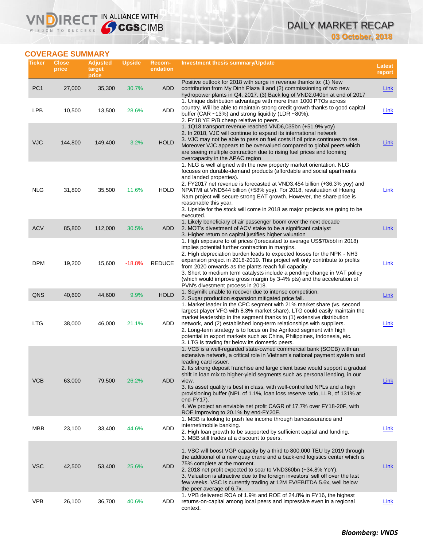# DAILY MARKET RECAP **03 October, 2018**

# **COVERAGE SUMMARY**

WISDOM TO SUCCESS

**VNDIRECT IN ALLIANCE WITH** 

| Ticker          | <b>Close</b><br>price | <b>Adjusted</b><br>target<br>price | <b>Upside</b> | Recom-<br>endation | Investment thesis summary/Update                                                                                                                                                                                                                                                                                                                                                                                                                                                                                                                                                                                                                      | <b>Latest</b><br>report |
|-----------------|-----------------------|------------------------------------|---------------|--------------------|-------------------------------------------------------------------------------------------------------------------------------------------------------------------------------------------------------------------------------------------------------------------------------------------------------------------------------------------------------------------------------------------------------------------------------------------------------------------------------------------------------------------------------------------------------------------------------------------------------------------------------------------------------|-------------------------|
| PC <sub>1</sub> | 27,000                | 35,300                             | 30.7%         | ADD                | Positive outlook for 2018 with surge in revenue thanks to: (1) New<br>contribution from My Dinh Plaza II and (2) commissioning of two new<br>hydropower plants in Q4, 2017. (3) Back log of VND2,040bn at end of 2017                                                                                                                                                                                                                                                                                                                                                                                                                                 | <b>Link</b>             |
| <b>LPB</b>      | 10,500                | 13,500                             | 28.6%         | ADD                | 1. Unique distribution advantage with more than 1000 PTOs across<br>country. Will be able to maintain strong credit growth thanks to good capital<br>buffer (CAR $\sim$ 13%) and strong liquidity (LDR $\sim$ 80%).<br>2. FY18 YE P/B cheap relative to peers.                                                                                                                                                                                                                                                                                                                                                                                        | Link                    |
| <b>VJC</b>      | 144,800               | 149,400                            | 3.2%          | <b>HOLD</b>        | 1. 1Q18 transport revenue reached VND6,035bn (+51.9% yoy)<br>2. In 2018, VJC will continue to expand its international network<br>3. VJC may not be able to pass on fuel costs if oil price continues to rise.<br>Moreover VJC appears to be overvalued compared to global peers which<br>are seeing multiple contraction due to rising fuel prices and looming<br>overcapacity in the APAC region                                                                                                                                                                                                                                                    | Link                    |
| <b>NLG</b>      | 31,800                | 35,500                             | 11.6%         | HOLD               | 1. NLG is well aligned with the new property market orientation. NLG<br>focuses on durable-demand products (affordable and social apartments<br>and landed properties).<br>2. FY2017 net revenue is forecasted at VND3,454 billion (+36.3% yoy) and<br>NPATMI at VND544 billion (+58% yoy). For 2018, revaluation of Hoang<br>Nam project will secure strong EAT growth. However, the share price is<br>reasonable this year.<br>3. Upside for the stock will come in 2018 as major projects are going to be<br>executed.                                                                                                                             | Link                    |
| <b>ACV</b>      | 85,800                | 112,000                            | 30.5%         | ADD                | 1. Likely beneficiary of air passenger boom over the next decade<br>2. MOT's divestment of ACV stake to be a significant catalyst<br>3. Higher return on capital justifies higher valuation                                                                                                                                                                                                                                                                                                                                                                                                                                                           | <b>Link</b>             |
| <b>DPM</b>      | 19,200                | 15,600                             | $-18.8%$      | <b>REDUCE</b>      | 1. High exposure to oil prices (forecasted to average US\$70/bbl in 2018)<br>implies potential further contraction in margins.<br>2. High depreciation burden leads to expected losses for the NPK - NH3<br>expansion project in 2018-2019. This project will only contribute to profits<br>from 2020 onwards as the plants reach full capacity.<br>3. Short to medium term catalysts include a pending change in VAT policy<br>(which would improve gross margin by 3-4% pts) and the acceleration of<br>PVN's divestment process in 2018.                                                                                                           | Link                    |
| QNS             | 40,600                | 44,600                             | 9.9%          | <b>HOLD</b>        | 1. Soymilk unable to recover due to intense competition.<br>2. Sugar production expansion mitigated price fall.                                                                                                                                                                                                                                                                                                                                                                                                                                                                                                                                       | <b>Link</b>             |
| <b>LTG</b>      | 38,000                | 46,000                             | 21.1%         | <b>ADD</b>         | 1. Market leader in the CPC segment with 21% market share (vs. second<br>largest player VFG with 8.3% market share). LTG could easily maintain the<br>market leadership in the segment thanks to (1) extensive distribution<br>network, and (2) established long-term relationships with suppliers.<br>2. Long-term strategy is to focus on the Agrifood segment with high<br>potential in export markets such as China, Philippines, Indonesia, etc.<br>3. LTG is trading far below its domestic peers.                                                                                                                                              | Link                    |
| <b>VCB</b>      | 63,000                | 79,500                             | 26.2%         | <b>ADD</b>         | 1. VCB is a well-regarded state-owned commercial bank (SOCB) with an<br>extensive network, a critical role in Vietnam's national payment system and<br>leading card issuer.<br>2. Its strong deposit franchise and large client base would support a gradual<br>shift in loan mix to higher-yield segments such as personal lending, in our<br>view.<br>3. Its asset quality is best in class, with well-controlled NPLs and a high<br>provisioning buffer (NPL of 1.1%, loan loss reserve ratio, LLR, of 131% at<br>end- $FY17$ ).<br>4. We project an enviable net profit CAGR of 17.7% over FY18-20F, with<br>ROE improving to 20.1% by end-FY20F. | Link                    |
| MBB             | 23,100                | 33,400                             | 44.6%         | <b>ADD</b>         | 1. MBB is looking to push fee income through bancassurance and<br>internet/mobile banking.<br>2. High loan growth to be supported by sufficient capital and funding.<br>3. MBB still trades at a discount to peers.                                                                                                                                                                                                                                                                                                                                                                                                                                   | Link                    |
| <b>VSC</b>      | 42,500                | 53,400                             | 25.6%         | <b>ADD</b>         | 1. VSC will boost VGP capacity by a third to 800,000 TEU by 2019 through<br>the additional of a new quay crane and a back-end logistics center which is<br>75% complete at the moment.<br>2. 2018 net profit expected to soar to VND360bn (+34.8% YoY).<br>3. Valuation is attractive due to the foreign investors' sell off over the last<br>few weeks. VSC is currently trading at 12M EV/EBITDA 5.6x, well below<br>the peer average of 6.7x.                                                                                                                                                                                                      | <b>Link</b>             |
| <b>VPB</b>      | 26,100                | 36,700                             | 40.6%         | ADD                | 1. VPB delivered ROA of 1.9% and ROE of 24.8% in FY16, the highest<br>returns-on-capital among local peers and impressive even in a regional<br>context.                                                                                                                                                                                                                                                                                                                                                                                                                                                                                              | <b>Link</b>             |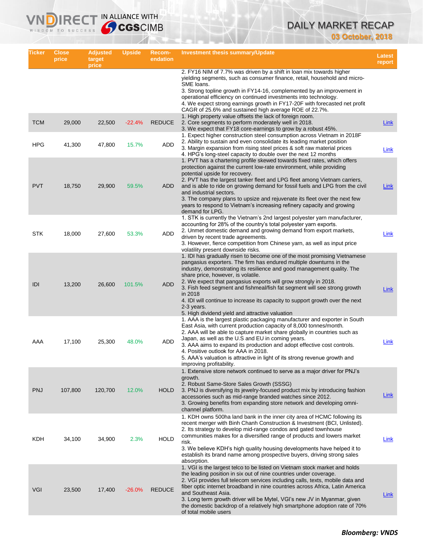# DAILY MARKET RECAP **03 October, 2018**

| Ticker     | <b>Close</b><br>price | <b>Adjusted</b><br>target<br>price | <b>Upside</b> | Recom-<br>endation | <b>Investment thesis summary/Update</b>                                                                                                                                                                                                                                                                                                                                                                                                                                                                                                                                        | Latest<br>report |
|------------|-----------------------|------------------------------------|---------------|--------------------|--------------------------------------------------------------------------------------------------------------------------------------------------------------------------------------------------------------------------------------------------------------------------------------------------------------------------------------------------------------------------------------------------------------------------------------------------------------------------------------------------------------------------------------------------------------------------------|------------------|
|            |                       |                                    |               |                    | 2. FY16 NIM of 7.7% was driven by a shift in loan mix towards higher<br>yielding segments, such as consumer finance, retail, household and micro-<br>SME loans.<br>3. Strong topline growth in FY14-16, complemented by an improvement in<br>operational efficiency on continued investments into technology.<br>4. We expect strong earnings growth in FY17-20F with forecasted net profit<br>CAGR of 25.6% and sustained high average ROE of 22.7%.                                                                                                                          |                  |
| <b>TCM</b> | 29,000                | 22,500                             | $-22.4%$      | <b>REDUCE</b>      | 1. High property value offsets the lack of foreign room.<br>2. Core segments to perform moderately well in 2018.<br>3. We expect that FY18 core-earnings to grow by a robust 45%.                                                                                                                                                                                                                                                                                                                                                                                              | Link             |
| <b>HPG</b> | 41,300                | 47,800                             | 15.7%         | ADD                | 1. Expect higher construction steel consumption across Vietnam in 2018F<br>2. Ability to sustain and even consolidate its leading market position<br>3. Margin expansion from rising steel prices & soft raw material prices<br>4. HPG's long-steel capacity to double over the next 12 months                                                                                                                                                                                                                                                                                 | Link             |
| <b>PVT</b> | 18,750                | 29,900                             | 59.5%         | <b>ADD</b>         | 1. PVT has a chartering profile skewed towards fixed rates, which offers<br>protection against the current low-rate environment, while providing<br>potential upside for recovery.<br>2. PVT has the largest tanker fleet and LPG fleet among Vietnam carriers,<br>and is able to ride on growing demand for fossil fuels and LPG from the civil<br>and industrial sectors.<br>3. The company plans to upsize and rejuvenate its fleet over the next few<br>years to respond to Vietnam's increasing refinery capacity and growing<br>demand for LPG.                          | Link             |
| <b>STK</b> | 18,000                | 27,600                             | 53.3%         | ADD                | 1. STK is currently the Vietnam's 2nd largest polyester yarn manufacturer,<br>accounting for 28% of the country's total polyester yarn exports.<br>2. Unmet domestic demand and growing demand from export markets,<br>driven by recent trade agreements.<br>3. However, fierce competition from Chinese yarn, as well as input price<br>volatility present downside risks.                                                                                                                                                                                                    | Link             |
| IDI        | 13,200                | 26,600                             | 101.5%        | <b>ADD</b>         | 1. IDI has gradually risen to become one of the most promising Vietnamese<br>pangasius exporters. The firm has endured multiple downturns in the<br>industry, demonstrating its resilience and good management quality. The<br>share price, however, is volatile.<br>2. We expect that pangasius exports will grow strongly in 2018.<br>3. Fish feed segment and fishmeal/fish fat segment will see strong growth<br>in 2018<br>4. IDI will continue to increase its capacity to support growth over the next<br>2-3 years.<br>5. High dividend yield and attractive valuation | <b>Link</b>      |
| AAA        | 17,100                | 25,300                             | 48.0%         | ADD                | 1. AAA is the largest plastic packaging manufacturer and exporter in South<br>East Asia, with current production capacity of 8,000 tonnes/month.<br>2. AAA will be able to capture market share globally in countries such as<br>Japan, as well as the U.S and EU in coming years.<br>3. AAA aims to expand its production and adopt effective cost controls.<br>4. Positive outlook for AAA in 2018.<br>5. AAA's valuation is attractive in light of its strong revenue growth and<br>improving profitability.                                                                | Link             |
| <b>PNJ</b> | 107,800               | 120,700                            | 12.0%         | HOLD               | 1. Extensive store network continued to serve as a major driver for PNJ's<br>growth.<br>2. Robust Same-Store Sales Growth (SSSG)<br>3. PNJ is diversifying its jewelry-focused product mix by introducing fashion<br>accessories such as mid-range branded watches since 2012.<br>3. Growing benefits from expanding store network and developing omni-<br>channel platform.                                                                                                                                                                                                   | Link             |
| KDH        | 34,100                | 34,900                             | 2.3%          | <b>HOLD</b>        | 1. KDH owns 500ha land bank in the inner city area of HCMC following its<br>recent merger with Binh Chanh Construction & Investment (BCI, Unlisted).<br>2. Its strategy to develop mid-range condos and gated townhouse<br>communities makes for a diversified range of products and lowers market<br>risk.<br>3. We believe KDH's high quality housing developments have helped it to<br>establish its brand name among prospective buyers, driving strong sales<br>absorption.                                                                                               | <b>Link</b>      |
| <b>VGI</b> | 23,500                | 17,400                             | $-26.0%$      | <b>REDUCE</b>      | 1. VGI is the largest telco to be listed on Vietnam stock market and holds<br>the leading position in six out of nine countries under coverage.<br>2. VGI provides full telecom services including calls, texts, mobile data and<br>fiber optic internet broadband in nine countries across Africa, Latin America<br>and Southeast Asia.<br>3. Long term growth driver will be Mytel, VGI's new JV in Myanmar, given<br>the domestic backdrop of a relatively high smartphone adoption rate of 70%<br>of total mobile users                                                    | Link             |

IRECT IN ALLIANCE WITH

VND)

WISDOM TO SUCCESS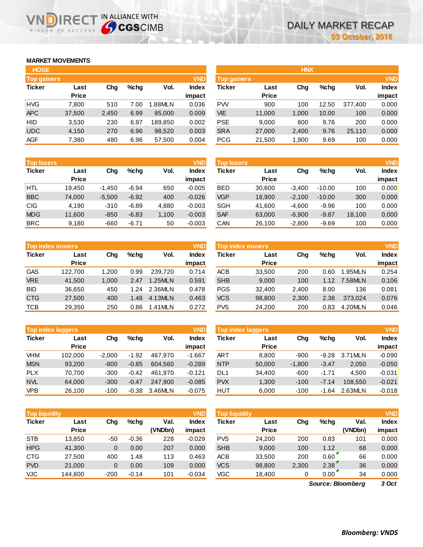# **MARKET MOVEMENTS**

WISDOM TO SUCCESS

| <b>HOSE</b>        |              |       |      |         |              |
|--------------------|--------------|-------|------|---------|--------------|
| <b>Top gainers</b> |              |       |      |         | <b>VND</b>   |
| <b>Ticker</b>      | Last         | Cha   | %chq | Vol.    | <b>Index</b> |
|                    | <b>Price</b> |       |      |         | impact       |
| <b>HVG</b>         | 7,800        | 510   | 7.00 | 1.88MLN | 0.036        |
| <b>APC</b>         | 37,500       | 2,450 | 6.99 | 85,000  | 0.009        |
| HID                | 3,530        | 230   | 6.97 | 189,850 | 0.002        |
| <b>UDC</b>         | 4,150        | 270   | 6.96 | 98,520  | 0.003        |
| <b>AGF</b>         | 7,380        | 480   | 6.96 | 57,500  | 0.004        |

**VNDIRECT IN ALLIANCE WITH** 

| <b>Top losers</b> |              |          |         |       | <b>VND</b>   |
|-------------------|--------------|----------|---------|-------|--------------|
| <b>Ticker</b>     | Last         | Cha      | %chq    | Vol.  | <b>Index</b> |
|                   | <b>Price</b> |          |         |       | impact       |
| <b>HTL</b>        | 19,450       | $-1,450$ | $-6.94$ | 650   | $-0.005$     |
| <b>BBC</b>        | 74,000       | $-5,500$ | $-6.92$ | 400   | $-0.026$     |
| <b>CIG</b>        | 4,190        | $-310$   | $-6.89$ | 4,880 | $-0.003$     |
| <b>MDG</b>        | 11,600       | $-850$   | $-6.83$ | 1,100 | $-0.003$     |
| <b>BRC</b>        | 9,180        | -660     | $-6.71$ | 50    | $-0.003$     |

| <b>Top index movers</b> |              | <b>VND</b> |      |         |              |
|-------------------------|--------------|------------|------|---------|--------------|
| <b>Ticker</b>           | Last         | Cha        | %chq | Vol.    | <b>Index</b> |
|                         | <b>Price</b> |            |      |         | impact       |
| <b>GAS</b>              | 122,700      | 1,200      | 0.99 | 239.720 | 0.714        |
| <b>VRE</b>              | 41,500       | 1,000      | 2.47 | 1.25MLN | 0.591        |
| <b>BID</b>              | 36,650       | 450        | 1.24 | 2.36MLN | 0.478        |
| <b>CTG</b>              | 27,500       | 400        | 1.48 | 4.13MLN | 0.463        |
| <b>TCB</b>              | 29,350       | 250        | 0.86 | 1.41MLN | 0.272        |

| <b>VND</b><br><b>Top index laggers</b> |              |          |         |         |              |  |  |  |  |
|----------------------------------------|--------------|----------|---------|---------|--------------|--|--|--|--|
| <b>Ticker</b>                          | Last         | Cha      | %chq    | Vol.    | <b>Index</b> |  |  |  |  |
|                                        | <b>Price</b> |          |         |         | impact       |  |  |  |  |
| <b>VHM</b>                             | 102,000      | $-2,000$ | $-1.92$ | 467,970 | $-1.667$     |  |  |  |  |
| <b>MSN</b>                             | 93,200       | $-800$   | $-0.85$ | 604.560 | $-0.289$     |  |  |  |  |
| PL X                                   | 70,700       | $-300$   | $-0.42$ | 461.970 | $-0.121$     |  |  |  |  |
| <b>NVL</b>                             | 64,000       | $-300$   | $-0.47$ | 247.900 | $-0.085$     |  |  |  |  |
| <b>VPB</b>                             | 26,100       | $-100$   | $-0.38$ | 3.46MLN | $-0.075$     |  |  |  |  |

| <b>VND</b><br><b>Top liquidity</b> |              |        |         |         |              |  |  |  |
|------------------------------------|--------------|--------|---------|---------|--------------|--|--|--|
| <b>Ticker</b>                      | Last         | Cha    | %chq    | Val.    | <b>Index</b> |  |  |  |
|                                    | <b>Price</b> |        |         | (VNDbn) | impact       |  |  |  |
| <b>STB</b>                         | 13,850       | -50    | $-0.36$ | 228     | $-0.029$     |  |  |  |
| <b>HPG</b>                         | 41,300       | 0      | 0.00    | 207     | 0.000        |  |  |  |
| <b>CTG</b>                         | 27,500       | 400    | 1.48    | 113     | 0.463        |  |  |  |
| <b>PVD</b>                         | 21,000       | 0      | 0.00    | 109     | 0.000        |  |  |  |
| <b>VJC</b>                         | 144.800      | $-200$ | $-0.14$ | 101     | $-0.034$     |  |  |  |

| <b>HOSE</b>        |              |       |         |         |              |                    |              | <b>HNX</b> |         |         |              |
|--------------------|--------------|-------|---------|---------|--------------|--------------------|--------------|------------|---------|---------|--------------|
| <b>Top gainers</b> |              |       |         |         | <b>VND</b>   | <b>Top gainers</b> |              |            |         |         | <b>VND</b>   |
| <b>Ticker</b>      | Last         | Chg   | $%$ chq | Vol.    | <b>Index</b> | Ticker             | Last         | Chg        | $%$ chq | Vol.    | <b>Index</b> |
|                    | <b>Price</b> |       |         |         | impact       |                    | <b>Price</b> |            |         |         | impact       |
| <b>HVG</b>         | 7.800        | 510   | 7.00    | 1.88MLN | 0.036        | <b>PW</b>          | 900          | 100        | 12.50   | 377,400 | 0.000        |
| <b>APC</b>         | 37,500       | 2,450 | 6.99    | 85,000  | 0.009        | <b>VIE</b>         | 11,000       | 1,000      | 10.00   | 100     | 0.000        |
| HID                | 3,530        | 230   | 6.97    | 189.850 | 0.002        | <b>PSE</b>         | 9.000        | 800        | 9.76    | 200     | 0.000        |
| UDC                | 4,150        | 270   | 6.96    | 98,520  | 0.003        | <b>SRA</b>         | 27,000       | 2,400      | 9.76    | 25,110  | 0.000        |
| AGF                | 7,380        | 480   | 6.96    | 57,500  | 0.004        | <b>PCG</b>         | 21,500       | 1,900      | 9.69    | 100     | 0.000        |
|                    |              |       |         |         |              |                    |              |            |         |         |              |

| <b>Top losers</b> |              |          |         |       | <b>VND</b>   | <b>Top losers</b> |              |          |          |        | <b>VND</b>   |
|-------------------|--------------|----------|---------|-------|--------------|-------------------|--------------|----------|----------|--------|--------------|
| <b>Ticker</b>     | Last         | Chg      | %chq    | Vol.  | <b>Index</b> | Ticker            | Last         | Chg      | $%$ chq  | Vol.   | <b>Index</b> |
|                   | <b>Price</b> |          |         |       | impact       |                   | <b>Price</b> |          |          |        | impact       |
| HTL               | 19.450       | $-1.450$ | $-6.94$ | 650   | $-0.005$     | <b>BED</b>        | 30,600       | $-3.400$ | $-10.00$ | 100    | 0.000        |
| <b>BBC</b>        | 74,000       | $-5,500$ | $-6.92$ | 400   | $-0.026$     | <b>VGP</b>        | 18,900       | $-2,100$ | $-10.00$ | 300    | 0.000        |
| CIG               | 4,190        | $-310$   | $-6.89$ | 4,880 | $-0.003$     | <b>SGH</b>        | 41,600       | $-4.600$ | $-9.96$  | 100    | 0.000        |
| <b>MDG</b>        | 11,600       | $-850$   | $-6.83$ | 1,100 | $-0.003$     | <b>SAF</b>        | 63,000       | $-6,900$ | $-9.87$  | 18,100 | 0.000        |
| BRC               | 9,180        | $-660$   | $-6.71$ | 50    | $-0.003$     | CAN               | 26,100       | $-2,800$ | $-9.69$  | 100    | 0.000        |
|                   |              |          |         |       |              |                   |              |          |          |        |              |

|            | <b>Top index movers</b> |       |         |         | <b>VND</b>      | <b>Top index movers</b> |                      |       |         |         | <b>VND</b>             |
|------------|-------------------------|-------|---------|---------|-----------------|-------------------------|----------------------|-------|---------|---------|------------------------|
| Ticker     | Last<br><b>Price</b>    | Chg   | $%$ chq | Vol.    | Index<br>impact | Ticker                  | Last<br><b>Price</b> | Chg   | $%$ chq | Vol.    | <b>Index</b><br>impact |
| GAS        | 122.700                 | 1.200 | 0.99    | 239.720 | 0.714           | ACB                     | 33.500               | 200   | 0.60    | .95MLN  | 0.254                  |
| <b>VRE</b> | 41.500                  | 1.000 | 2.47    | 1.25MLN | 0.591           | <b>SHB</b>              | 9,000                | 100   | 1.12    | 7.58MLN | 0.106                  |
| BID        | 36.650                  | 450   | 1.24    | 2.36MLN | 0.478           | <b>PGS</b>              | 32.400               | 2,400 | 8.00    | 136     | 0.081                  |
| <b>CTG</b> | 27,500                  | 400   | 1.48    | 4.13MLN | 0.463           | <b>VCS</b>              | 98,800               | 2,300 | 2.38    | 373.024 | 0.076                  |
| TCB        | 29,350                  | 250   | 0.86    | 1.41MLN | 0.272           | <b>PVS</b>              | 24,200               | 200   | 0.83    | 4.20MLN | 0.046                  |

|            | <b>VND</b><br><b>Top index laggers</b> |          |         |         |          |            | Top index laggers |          |         |          | <b>VND</b>   |
|------------|----------------------------------------|----------|---------|---------|----------|------------|-------------------|----------|---------|----------|--------------|
| Ticker     | Last                                   | Chg      | %chq    | Vol.    | Index    | Ticker     | Last              | Chg      | $%$ chq | Vol.     | <b>Index</b> |
|            | <b>Price</b>                           |          |         |         | impact   |            | <b>Price</b>      |          |         |          | impact       |
| VHM        | 102.000                                | $-2.000$ | $-1.92$ | 467.970 | $-1.667$ | ART        | 8.800             | $-900$   | $-9.28$ | 3.71 MLN | $-0.090$     |
| <b>MSN</b> | 93,200                                 | $-800$   | $-0.85$ | 604.560 | $-0.289$ | <b>NTP</b> | 50,000            | $-1,800$ | $-3.47$ | 2,050    | $-0.050$     |
| <b>PLX</b> | 70.700                                 | $-300$   | $-0.42$ | 461.970 | $-0.121$ | DL1        | 34.400            | $-600$   | $-1.71$ | 4.500    | $-0.031$     |
| <b>NVL</b> | 64.000                                 | $-300$   | $-0.47$ | 247.900 | $-0.085$ | <b>PVX</b> | 1.300             | $-100$   | $-7.14$ | 108.550  | $-0.021$     |
| <b>VPB</b> | 26.100                                 | $-100$   | $-0.38$ | 3.46MLN | $-0.075$ | HUT        | 6,000             | $-100$   | $-1.64$ | 2.63MLN  | $-0.018$     |

|            | <b>Top liquidity</b> |              |         |         |          |            | <b>VND</b><br><b>Top liquidity</b> |       |         |                   |              |  |
|------------|----------------------|--------------|---------|---------|----------|------------|------------------------------------|-------|---------|-------------------|--------------|--|
| Ticker     | Last                 | Chg          | $%$ chq | Val.    | Index    | Ticker     | Last                               | Chg   | $%$ chq | Val.              | <b>Index</b> |  |
|            | <b>Price</b>         |              |         | (VNDbn) | impact   |            | <b>Price</b>                       |       |         | (VNDbn)           | impact       |  |
| <b>STB</b> | 13.850               | -50          | $-0.36$ | 228     | $-0.029$ | <b>PVS</b> | 24.200                             | 200   | 0.83    | 101               | 0.000        |  |
| <b>HPG</b> | 41.300               | $\mathbf{0}$ | 0.00    | 207     | 0.000    | <b>SHB</b> | 9,000                              | 100   | 1.12    | 68                | 0.000        |  |
| <b>CTG</b> | 27.500               | 400          | 1.48    | 113     | 0.463    | <b>ACB</b> | 33,500                             | 200   | 0.60    | 66                | 0.000        |  |
| <b>PVD</b> | 21,000               | $\mathbf{0}$ | 0.00    | 109     | 0.000    | <b>VCS</b> | 98,800                             | 2,300 | 2.38    | 36                | 0.000        |  |
| VJC        | 144,800              | $-200$       | $-0.14$ | 101     | $-0.034$ | VGC        | 18,400                             | 0     | 0.00    | 34                | 0.000        |  |
|            |                      |              |         |         |          |            |                                    |       |         | Source: Bloomberg | $3$ Oct      |  |

*3 Oct Source: Bloomberg*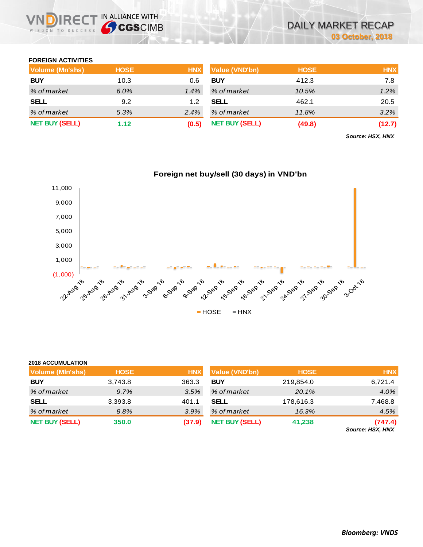### **FOREIGN ACTIVITIES**

WISDOM TO SUCCESS

**2018 ACCUMULATION**

**IRECT IN ALLIANCE WITH** 

| <b>Volume (Mn'shs)</b> | <b>HOSE</b> | <b>HNX</b> | <b>Value (VND'bn)</b> | <b>HOSE</b> | <b>HNX</b> |
|------------------------|-------------|------------|-----------------------|-------------|------------|
| <b>BUY</b>             | 10.3        | 0.6        | <b>BUY</b>            | 412.3       | 7.8        |
| % of market            | $6.0\%$     | $1.4\%$    | % of market           | 10.5%       | 1.2%       |
| <b>SELL</b>            | 9.2         | 1.2        | <b>SELL</b>           | 462.1       | 20.5       |
| % of market            | 5.3%        | $2.4\%$    | % of market           | 11.8%       | $3.2\%$    |
| <b>NET BUY (SELL)</b>  | 1.12        | (0.5)      | <b>NET BUY (SELL)</b> | (49.8)      | (12.7)     |

*Source: HSX, HNX*



| <b>2018 ACCUMULATION</b> |             |            |                       |             |            |
|--------------------------|-------------|------------|-----------------------|-------------|------------|
| <b>Volume (MIn'shs)</b>  | <b>HOSE</b> | <b>HNX</b> | <b>Value (VND'bn)</b> | <b>HOSE</b> | <b>HNX</b> |
| <b>BUY</b>               | 3,743.8     | 363.3      | <b>BUY</b>            | 219,854.0   | 6,721.4    |
| % of market              | 9.7%        | 3.5%       | % of market           | 20.1%       | 4.0%       |
| <b>SELL</b>              | 3,393.8     | 401.1      | <b>SELL</b>           | 178,616.3   | 7,468.8    |
| % of market              | 8.8%        | 3.9%       | % of market           | 16.3%       | 4.5%       |
| <b>NET BUY (SELL)</b>    | 350.0       | (37.9)     | <b>NET BUY (SELL)</b> | 41,238      | (747.4)    |

*Source: HSX, HNX*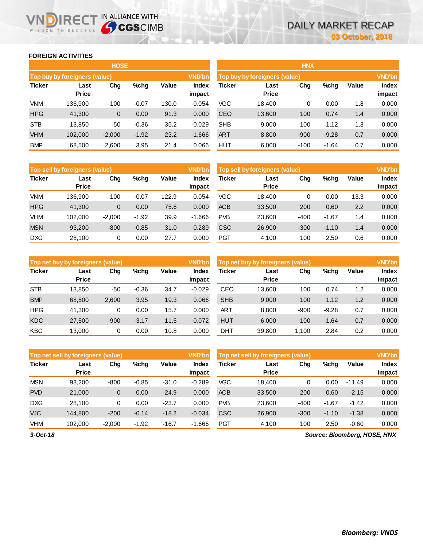### **FOREIGN ACTIVITIES**

WISDOM TO SUCCESS

R<sub>E</sub>

|               |                               | <b>HOSE</b> |         |       |                        | <b>HNX</b> |                               |        |         |       |                 |
|---------------|-------------------------------|-------------|---------|-------|------------------------|------------|-------------------------------|--------|---------|-------|-----------------|
|               | Top buy by foreigners (value) |             |         |       | <b>VND'bn</b>          |            | Top buy by foreigners (value) |        |         |       | <b>VND'bn</b>   |
| <b>Ticker</b> | Last<br>Price                 | Chg         | %chg    | Value | <b>Index</b><br>impact | Ticker     | Last<br><b>Price</b>          | Chg    | %chg    | Value | Index<br>impact |
| <b>VNM</b>    | 136.900                       | $-100$      | $-0.07$ | 130.0 | $-0.054$               | VGC        | 18.400                        | 0      | 0.00    | 1.8   | 0.000           |
| <b>HPG</b>    | 41,300                        | $\mathbf 0$ | 0.00    | 91.3  | 0.000                  | <b>CEO</b> | 13,600                        | 100    | 0.74    | 1.4   | 0.000           |
| <b>STB</b>    | 13.850                        | -50         | $-0.36$ | 35.2  | $-0.029$               | <b>SHB</b> | 9.000                         | 100    | 1.12    | 1.3   | 0.000           |
| <b>VHM</b>    | 102,000                       | $-2,000$    | $-1.92$ | 23.2  | $-1.666$               | ART        | 8,800                         | $-900$ | $-9.28$ | 0.7   | 0.000           |
| <b>BMP</b>    | 68,500                        | 2,600       | 3.95    | 21.4  | 0.066                  | HUT        | 6,000                         | $-100$ | $-1.64$ | 0.7   | 0.000           |

IN ALLIANCE WITH

| <b>HNX</b>    |                               |        |         |       |               |  |  |  |  |  |  |  |
|---------------|-------------------------------|--------|---------|-------|---------------|--|--|--|--|--|--|--|
|               | Top buy by foreigners (value) |        |         |       | <b>VND'bn</b> |  |  |  |  |  |  |  |
| <b>Ticker</b> | Last                          | Chg    | %chq    | Value | <b>Index</b>  |  |  |  |  |  |  |  |
|               | <b>Price</b>                  |        |         |       | impact        |  |  |  |  |  |  |  |
| VGC           | 18,400                        | 0      | 0.00    | 1.8   | 0.000         |  |  |  |  |  |  |  |
| CEO           | 13,600                        | 100    | 0.74    | 1.4   | 0.000         |  |  |  |  |  |  |  |
| SHB           | 9,000                         | 100    | 1.12    | 1.3   | 0.000         |  |  |  |  |  |  |  |
| <b>ART</b>    | 8,800                         | $-900$ | $-9.28$ | 0.7   | 0.000         |  |  |  |  |  |  |  |
| HUT           | 6,000                         | $-100$ | -1.64   | 0.7   | 0.000         |  |  |  |  |  |  |  |

|               | Top sell by foreigners (value) |          |         |              | <b>VND'bn</b>          | Top sell by foreigners (value) |                      |        |         |       | <b>VND'bn</b>   |
|---------------|--------------------------------|----------|---------|--------------|------------------------|--------------------------------|----------------------|--------|---------|-------|-----------------|
| <b>Ticker</b> | Last<br><b>Price</b>           | Chg      | %chg    | <b>Value</b> | <b>Index</b><br>impact | <b>Ticker</b>                  | Last<br><b>Price</b> | Chg    | %chg    | Value | Index<br>impact |
| VNM           | 136.900                        | $-100$   | $-0.07$ | 122.9        | $-0.054$               | <b>VGC</b>                     | 18.400               |        | 0.00    | 13.3  | 0.000           |
| <b>HPG</b>    | 41.300                         | 0        | 0.00    | 75.6         | 0.000                  | <b>ACB</b>                     | 33,500               | 200    | 0.60    | 2.2   | 0.000           |
| VHM           | 102.000                        | $-2.000$ | $-1.92$ | 39.9         | $-1.666$               | <b>PVB</b>                     | 23,600               | $-400$ | $-1.67$ | 1.4   | 0.000           |
| <b>MSN</b>    | 93.200                         | $-800$   | $-0.85$ | 31.0         | $-0.289$               | <b>CSC</b>                     | 26,900               | $-300$ | $-1.10$ | 1.4   | 0.000           |
| <b>DXG</b>    | 28,100                         | 0        | 0.00    | 27.7         | 0.000                  | <b>PGT</b>                     | 4,100                | 100    | 2.50    | 0.6   | 0.000           |

|               | Top sell by foreigners (value) |        |         |       | <b>VND'bn</b>          |
|---------------|--------------------------------|--------|---------|-------|------------------------|
| <b>Ticker</b> | Last<br><b>Price</b>           | Chq    | %chq    | Value | <b>Index</b><br>impact |
| VGC           | 18,400                         | 0      | 0.00    | 13.3  | 0.000                  |
| <b>ACB</b>    | 33,500                         | 200    | 0.60    | 2.2   | 0.000                  |
| <b>PVB</b>    | 23,600                         | -400   | $-1.67$ | 1.4   | 0.000                  |
| <b>CSC</b>    | 26,900                         | $-300$ | $-1.10$ | 1.4   | 0.000                  |
| PGT           | 4,100                          | 100    | 2.50    | 0.6   | 0.000                  |

|               | <b>VND'bn</b><br><b>Top net buy by foreigners (value)</b> |        |         |       |                        |            | Top net buy by foreigners (value) |        |         |       |                 |
|---------------|-----------------------------------------------------------|--------|---------|-------|------------------------|------------|-----------------------------------|--------|---------|-------|-----------------|
| <b>Ticker</b> | Last<br><b>Price</b>                                      | Chg    | $%$ chg | Value | <b>Index</b><br>impact | Ticker     | Last<br><b>Price</b>              | Chg    | %chg    | Value | Index<br>impact |
| <b>STB</b>    | 13.850                                                    | -50    | $-0.36$ | 34.7  | $-0.029$               | CEO        | 13,600                            | 100    | 0.74    | 1.2   | 0.000           |
| <b>BMP</b>    | 68,500                                                    | 2,600  | 3.95    | 19.3  | 0.066                  | <b>SHB</b> | 9,000                             | 100    | 1.12    | 1.2   | 0.000           |
| <b>HPG</b>    | 41.300                                                    | 0      | 0.00    | 15.7  | 0.000                  | ART        | 8.800                             | $-900$ | $-9.28$ | 0.7   | 0.000           |
| <b>KDC</b>    | 27,500                                                    | $-900$ | $-3.17$ | 11.5  | $-0.072$               | <b>HUT</b> | 6,000                             | $-100$ | $-1.64$ | 0.7   | 0.000           |
| <b>KBC</b>    | 13.000                                                    | 0      | 0.00    | 10.8  | 0.000                  | DHT        | 39.800                            | 1.100  | 2.84    | 0.2   | 0.000           |

|               | <b>VND'bn</b><br>Top net sell by foreigners (value) |          |         |         |                 |            | Top net sell by foreigners (value) |        |         |          |                 |
|---------------|-----------------------------------------------------|----------|---------|---------|-----------------|------------|------------------------------------|--------|---------|----------|-----------------|
| <b>Ticker</b> | Last<br><b>Price</b>                                | Chg      | $%$ chg | Value   | Index<br>impact | Ticker     | Last<br><b>Price</b>               | Chg    | %chg    | Value    | Index<br>impact |
| <b>MSN</b>    | 93.200                                              | $-800$   | $-0.85$ | $-31.0$ | $-0.289$        | VGC        | 18.400                             | 0      | 0.00    | $-11.49$ | 0.000           |
| <b>PVD</b>    | 21,000                                              | 0        | 0.00    | $-24.9$ | 0.000           | <b>ACB</b> | 33,500                             | 200    | 0.60    | $-2.15$  | 0.000           |
| <b>DXG</b>    | 28.100                                              | 0        | 0.00    | $-23.7$ | 0.000           | <b>PVB</b> | 23.600                             | $-400$ | $-1.67$ | $-1.42$  | 0.000           |
| <b>VJC</b>    | 144.800                                             | $-200$   | $-0.14$ | $-18.2$ | $-0.034$        | <b>CSC</b> | 26,900                             | $-300$ | $-1.10$ | $-1.38$  | 0.000           |
| <b>VHM</b>    | 102.000                                             | $-2,000$ | $-1.92$ | $-16.7$ | $-1.666$        | <b>PGT</b> | 4,100                              | 100    | 2.50    | $-0.60$  | 0.000           |

*Source: Bloomberg, HOSE, HNX*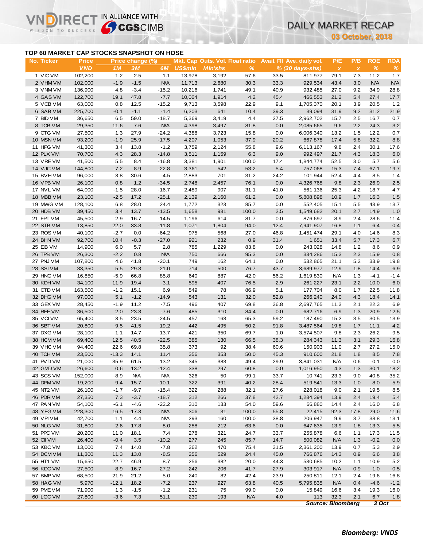### **TOP 60 MARKET CAP STOCKS SNAPSHOT ON HOSE**

NDIRECT IN ALLIANCE WITH

**03 October, 2018**

|                                           |                       |              |                  |                    |                          |                                 |                       |             |                              |                                   | 03 October, 2018    |                |               |  |
|-------------------------------------------|-----------------------|--------------|------------------|--------------------|--------------------------|---------------------------------|-----------------------|-------------|------------------------------|-----------------------------------|---------------------|----------------|---------------|--|
| TOP 60 MARKET CAP STOCKS SNAPSHOT ON HOSE |                       |              |                  |                    |                          |                                 |                       |             |                              |                                   |                     |                |               |  |
| No. Ticker                                | <b>Price</b>          |              | Price change (%) |                    |                          | Mkt. Cap Outs. Vol. Float ratio |                       |             | Avail. Fil Ave. daily vol.   | P/E                               | P/B                 | <b>ROE</b>     | <b>ROA</b>    |  |
| 1 VIC VM                                  | <b>VND</b><br>102,200 | 1M<br>$-1.2$ | 3M<br>2.5        | 6M<br>1.1          | <b>US\$mln</b><br>13,978 | <b>MIn'shs</b><br>3,192         | $\frac{9}{6}$<br>57.6 | 33.5        | $% (30 days-shs)$<br>811,977 | $\boldsymbol{\mathsf{x}}$<br>79.1 | $\pmb{\chi}$<br>7.3 | $\%$<br>11.2   | $\%$<br>1.7   |  |
| 2 VHM VM                                  | 102,000               | $-1.9$       | $-1.5$           | <b>N/A</b>         | 11,713                   | 2,680                           | 30.3                  | 33.3        | 929,534                      | 43.4                              | 3.0                 | N/A            | <b>N/A</b>    |  |
| 3 VNM VM                                  | 136,900               | 4.8          | $-3.4$           | $-15.2$            | 10,216                   | 1,741                           | 49.1                  | 40.9        | 932,485                      | 27.0                              | 9.2                 | 34.9           | 28.8          |  |
| 4 GAS VM                                  | 122,700               | 19.1         | 47.8             | $-7.7$             | 10,064                   | 1,914                           | 4.2                   | 45.4        | 466,553                      | 21.2                              | 5.4                 | 27.4           | 17.7          |  |
| 5 VCB VM                                  | 63,000                | 0.8          | 12.5             | $-15.2$            | 9,713                    | 3,598                           | 22.9                  | 9.1         | 1,705,370                    | 20.1                              | 3.9                 | 20.5           | 1.2           |  |
| 6 SAB VM                                  | 225,700               | $-0.1$       | $-1.1$           | $-1.4$             | 6,203                    | 641                             | 10.4                  | 39.3        | 39,094                       | 31.9                              | 9.2                 | 31.2           | 21.9          |  |
| 7 BID VM                                  | 36,650                | 6.5          | 59.0             | $-18.7$            | 5,369                    | 3,419                           | 4.4                   | 27.5        | 2,962,702                    | 15.7                              | 2.5                 | 16.7           | 0.7           |  |
| 8 TCB VM                                  | 29,350                | 11.6         | 7.6              | <b>N/A</b>         | 4,398                    | 3,497                           | 81.8                  | 0.0         | 2,085,665                    | 9.6                               | 2.2                 | 24.3           | 3.2           |  |
| 9 CTG VM                                  | 27,500                | 1.3          | 27.9             | $-24.2$            | 4,388                    | 3,723                           | 15.8                  | 0.0         | 6,006,340                    | 13.2                              | 1.5                 | 12.2           | 0.7           |  |
| 10 MSN VM                                 | 93,200                | $-1.9$       | 25.9             | $-17.5$            | 4,207                    | 1,053                           | 37.9                  | 20.2        | 667,878                      | 17.4                              | 5.8                 | 32.2           | 8.8           |  |
| 11 HPG VM                                 | 41,300                | 3.4          | 13.8             | $-1.2$             | 3,759                    | 2,124                           | 55.8                  | 9.6         | 6,113,167                    | 9.8                               | 2.4                 | 30.1           | 17.6          |  |
| 12 PLX VM                                 | 70,700                | 4.3          | 28.3             | $-14.8$            | 3,511                    | 1,159                           | 6.3                   | 9.0         | 992,497                      | 21.7                              | 4.3                 | 18.3           | 6.0           |  |
| 13 VRE VM                                 | 41,500                | 5.5          | 8.4              | $-16.8$            | 3,381                    | 1,901                           | 100.0                 | 17.4        | 1,844,774                    | 52.5                              | 3.0                 | 5.7            | 5.6           |  |
| 14 VJC VM                                 | 144,800               | $-7.2$       | 8.9              | $-22.8$            | 3,361                    | 542                             | 53.2                  | 5.4         | 757,068                      | 15.3                              | 7.4                 | 67.1           | 19.7          |  |
| 15 BVHVM                                  | 96,000                | 3.8          | 30.6             | $-4.5$             | 2,883                    | 701                             | 31.2                  | 24.2        | 101,944                      | 52.4                              | 4.4                 | 8.5            | 1.4           |  |
| 16 VPB VM                                 | 26,100                | 0.8          | 1.2              | $-34.5$            | 2,748                    | 2,457                           | 76.1                  | 0.0         | 4,326,768                    | 9.8                               | 2.3                 | 26.9           | 2.5           |  |
| 17 NVL VM                                 | 64,000                | $-1.5$       | 28.0             | $-16.7$            | 2,489                    | 907                             | 31.1                  | 41.0        | 561,136                      | 25.3                              | 4.2                 | 18.7           | 4.7           |  |
| 18 MBB VM                                 | 23,100                | $-2.5$       | 17.2             | $-25.1$            | 2,139                    | 2,160                           | 61.2                  | 0.0         | 5,808,898                    | 10.9                              | 1.7                 | 16.3           | 1.5           |  |
| 19 MWG VM                                 | 128,100               | 6.8          | 28.0             | 24.4               | 1,772                    | 323<br>981                      | 85.7                  | 0.0         | 552,405                      | 15.1                              | 5.5                 | 43.9           | 13.7          |  |
| 20 HDB VM<br>21 FPT VM                    | 39,450<br>45,500      | 3.4<br>2.9   | 13.7<br>16.7     | $-13.5$            | 1,658<br>1,196           | 614                             | 100.0<br>81.7         | 2.5<br>0.0  | 1,549,682<br>876,697         | 20.1<br>8.9                       | 2.7<br>2.4          | 14.9<br>28.6   | $1.0$<br>11.4 |  |
| 22 STB VM                                 | 13,850                | 22.0         | 33.8             | $-14.5$<br>$-11.8$ | 1,071                    | 1,804                           | 94.0                  | 12.4        | 7,941,907                    | 16.8                              | 1.1                 | 6.4            | 0.4           |  |
| 23 ROS VM                                 | 40,100                | $-2.7$       | 0.0              | $-64.2$            | 975                      | 568                             | 27.0                  | 46.8        | 1,451,474                    | 29.1                              | 4.0                 | 14.6           | 8.3           |  |
| 24 BHN VM                                 | 92,700                | 10.4         | $-0.3$           | $-27.0$            | 921                      | 232                             | 0.9                   | 31.4        | 1,651                        | 33.4                              | 5.7                 | 17.3           | 6.7           |  |
| 25 EIB VM                                 | 14,900                | 6.0          | 5.7              | 2.8                | 785                      | 1,229                           | 83.8                  | 0.0         | 243,028                      | 14.8                              | 1.2                 | 8.6            | 0.9           |  |
| 26 TPB VM                                 | 26,300                | $-2.2$       | 0.8              | <b>N/A</b>         | 750                      | 666                             | 95.3                  | 0.0         | 334,286                      | 15.3                              | 2.3                 | 15.9           | 0.8           |  |
| 27 PNJ VM                                 | 107,800               | 4.6          | 41.8             | $-20.1$            | 749                      | 162                             | 64.1                  | 0.0         | 532,865                      | 21.1                              | 5.2                 | 33.9           | 19.8          |  |
| 28 SSIVM                                  | 33,350                | 5.5          | 29.3             | $-21.0$            | 714                      | 500                             | 76.7                  | 43.7        | 3,689,977                    | 12.9                              | 1.8                 | 14.4           | 6.9           |  |
| 29 HNG VM                                 | 16,850                | $-5.9$       | 66.8             | 85.8               | 640                      | 887                             | 42.0                  | 56.2        | 1,619,830                    | <b>N/A</b>                        | 1.3                 | $-4.1$         | $-1.4$        |  |
| 30 KDH VM                                 | 34,100                | 11.9         | 19.4             | $-3.1$             | 595                      | 407                             | 76.5                  | 2.9         | 261,227                      | 23.1                              | 2.2                 | 10.0           | 6.0           |  |
| 31 CTD VM                                 | 163,500               | $-1.2$       | 15.1             | 6.9                | 549                      | 78                              | 86.9                  | 5.1         | 177,704                      | 8.0                               | 1.7                 | 22.5           | 11.8          |  |
| 32 DHG VM                                 | 97,000                | 5.1          | $-1.2$           | $-14.9$            | 543                      | 131                             | 32.0                  | 52.8        | 266,240                      | 24.0                              | 4.3                 | 18.4           | 14.1          |  |
| 33 GEX VM                                 | 28,450                | $-1.9$       | 11.2             | $-7.5$             | 496                      | 407                             | 69.8                  | 36.8        | 2,697,765                    | 11.3                              | 2.1                 | 22.3           | 6.9           |  |
| 34 REE VM                                 | 36,500                | 2.0          | 23.3             | $-7.6$             | 485                      | 310                             | 84.4                  | 0.0         | 682,716                      | 6.9                               | 1.3                 | 20.9           | 12.5          |  |
| 35 VCIVM                                  | 65,400                | 3.5          | 23.5             | $-24.5$            | 457                      | 163                             | 65.3                  | 59.2        | 187,490                      | 15.2                              | 3.5                 | 30.5           | 13.9          |  |
| 36 SBT VM                                 | 20,800                | 9.5          | 41.5             | 19.2               | 442                      | 495                             | 50.2                  | 91.8        | 3,487,564                    | 19.8                              | 1.7                 | 11.1           | 4.2           |  |
| 37 DXG VM                                 | 28,100                | $-1.1$       | 14.7             | $-13.7$            | 421                      | 350                             | 69.7                  | 1.0         | 3,574,507                    | 9.8                               | 2.3                 | 26.2           | 9.5           |  |
| 38 HCM VM                                 | 69,400                | 12.5         | 40.5             | $-22.5$            | 385                      | 130                             | 66.5                  | 38.3        | 284,343                      | 11.3                              | 3.1                 | 29.3           | 16.8          |  |
| 39 VHC VM                                 | 94,400                | 22.6         | 69.8             | 35.8               | 373                      | 92                              | 38.4                  | 60.6        | 150,903                      | 11.0                              | 2.7                 | 27.2           | 15.0          |  |
| 40 TCH VM                                 | 23,500                | $-13.3$      | 14.1             | 11.4               | 356                      | 353                             | 50.0                  | 45.3        | 910,600                      | 21.8                              | 1.8                 | 8.5            | $7.8$         |  |
| 41 PVD VM<br>42 GMD VM                    | 21,000<br>26,600      | 35.9<br>0.6  | 61.5<br>13.2     | 13.2<br>$-12.4$    | 345<br>338               | 383<br>297                      | 49.4<br>60.8          | 29.9<br>0.0 | 3,841,031<br>1,016,950       | <b>N/A</b><br>4.3                 | 0.6<br>1.3          | $-0.1$<br>30.1 | 0.0<br>18.2   |  |
| 43 SCS VM                                 | 152,000               | $-8.9$       | N/A              | <b>N/A</b>         | 326                      | 50                              | 99.1                  | 33.7        | 10,741                       | 23.3                              | 9.0                 | 40.8           | 35.2          |  |
| 44 DPM VM                                 | 19,200                | 9.4          | 15.7             | $-10.1$            | 322                      | 391                             | 40.2                  | 28.4        | 519,541                      | 13.3                              | 1.0                 | 8.0            | 5.9           |  |
| 45 NT2 VM                                 | 26,100                | $-1.7$       | $-9.7$           | $-15.4$            | 322                      | 288                             | 32.1                  | 27.6        | 228,018                      | 9.0                               | 2.1                 | 19.5           | 8.5           |  |
| 46 PDR VM                                 | 27,350                | 7.3          | $-3.7$           | $-18.7$            | 312                      | 266                             | 37.8                  | 42.7        | 1,284,394                    | 13.9                              | 2.4                 | 19.4           | 5.4           |  |
| 47 PAN VM                                 | 54,100                | $-6.1$       | $-4.6$           | $-22.2$            | 310                      | 133                             | 54.0                  | 59.6        | 66,880                       | 14.4                              | 2.4                 | 16.0           | 6.8           |  |
| 48 YEG VM                                 | 228,300               | 16.5         | $-17.3$          | <b>N/A</b>         | 306                      | 31                              | 100.0                 | 55.8        | 22,415                       | 92.3                              | 17.8                | 29.0           | 11.6          |  |
| 49 VPI VM                                 | 42,700                | 1.1          | 4.4              | <b>N/A</b>         | 293                      | 160                             | 100.0                 | 38.8        | 206,947                      | 9.9                               | 3.7                 | 38.8           | 13.1          |  |
| 50 NLG VM                                 | 31,800                | 2.6          | 17.8             | $-8.0$             | 288                      | 212                             | 63.6                  | 0.0         | 647,635                      | 13.9                              | 1.8                 | 13.3           | 5.5           |  |
| 51 PPC VM                                 | 20,200                | 11.0         | 18.1             | 7.4                | 278                      | 321                             | 24.7                  | 33.7        | 255,878                      | 6.6                               | 1.1                 | 17.3           | 11.5          |  |
| 52 CII VM                                 | 26,400                | $-0.4$       | 3.5              | $-10.2$            | 277                      | 245                             | 85.7                  | 14.7        | 500,082                      | <b>N/A</b>                        | 1.3                 | $-0.2$         | 0.0           |  |
| 53 KBC VM                                 | 13,000                | 7.4          | 14.0             | $-7.8$             | 262                      | 470                             | 75.4                  | 31.5        | 2,361,200                    | 13.9                              | 0.7                 | 5.3            | 2.9           |  |
| 54 DCM VM                                 | 11,300                | 11.3         | 13.0             | $-8.5$             | 256                      | 529                             | 24.4                  | 45.0        | 766,876                      | 14.3                              | 0.9                 | 6.6            | 3.8           |  |
| 55 HT1 VM                                 | 15,650                | 22.7         | 46.9             | 8.7                | 256                      | 382                             | 20.0                  | 44.3        | 530,685                      | 10.2                              | 1.1                 | 10.9           | 5.2           |  |
| 56 KDC VM                                 | 27,500                | $-8.9$       | $-16.7$          | $-27.2$            | 242                      | 206                             | 41.7                  | 27.9        | 303,917                      | <b>N/A</b>                        | 0.9                 | $-1.0$         | $-0.5$        |  |
| 57 BMP VM                                 | 68,500                | 21.9         | 21.2             | $-5.0$             | 240                      | 82                              | 42.4                  | 23.9        | 250,811                      | 12.1                              | 2.4                 | 19.6           | 16.8          |  |
| 58 HAG VM                                 | 5,970                 | $-12.1$      | 18.2             | $-7.2$             | 237                      | 927                             | 63.8                  | 40.5        | 5,795,835                    | <b>N/A</b>                        | 0.4                 | $-4.6$         | $-1.2$        |  |
| 59 PME VM                                 | 71,900                | 1.3          | $-1.5$           | $-1.2$             | 231                      | 75                              | 99.0                  | 0.0         | 15,849                       | 16.6                              | 3.4                 | 19.3           | 16.0          |  |
| 60 LGC VM                                 | 27,800                | $-3.6$       | 7.3              | 51.1               | 230                      | 193                             | <b>N/A</b>            | 4.0         | 113                          | 32.3                              | 2.1                 | 6.7            | 1.8           |  |

*Source: Bloomberg 3 Oct*